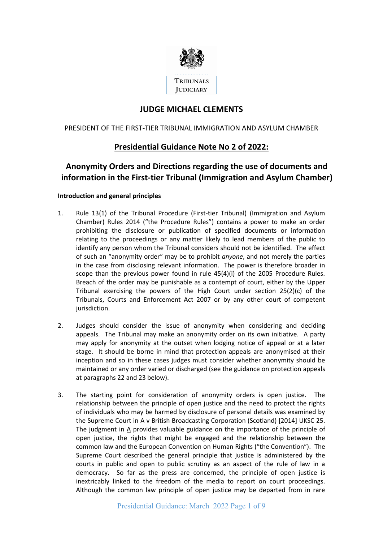

# **JUDGE MICHAEL CLEMENTS**

### PRESIDENT OF THE FIRST-TIER TRIBUNAL IMMIGRATION AND ASYLUM CHAMBER

## **Presidential Guidance Note No 2 of 2022:**

# **Anonymity Orders and Directions regarding the use of documents and information in the First-tier Tribunal (Immigration and Asylum Chamber)**

#### **Introduction and general principles**

- 1. Rule 13(1) of the Tribunal Procedure (First-tier Tribunal) (Immigration and Asylum Chamber) Rules 2014 ("the Procedure Rules") contains a power to make an order prohibiting the disclosure or publication of specified documents or information relating to the proceedings or any matter likely to lead members of the public to identify any person whom the Tribunal considers should not be identified. The effect of such an "anonymity order" may be to prohibit *anyone*, and not merely the parties in the case from disclosing relevant information. The power is therefore broader in scope than the previous power found in rule 45(4)(i) of the 2005 Procedure Rules. Breach of the order may be punishable as a contempt of court, either by the Upper Tribunal exercising the powers of the High Court under section  $25(2)(c)$  of the Tribunals, Courts and Enforcement Act 2007 or by any other court of competent jurisdiction.
- 2. Judges should consider the issue of anonymity when considering and deciding appeals. The Tribunal may make an anonymity order on its own initiative. A party may apply for anonymity at the outset when lodging notice of appeal or at a later stage. It should be borne in mind that protection appeals are anonymised at their inception and so in these cases judges must consider whether anonymity should be maintained or any order varied or discharged (see the guidance on protection appeals at paragraphs 22 and 23 below).
- 3. The starting point for consideration of anonymity orders is open justice. The relationship between the principle of open justice and the need to protect the rights of individuals who may be harmed by disclosure of personal details was examined by the Supreme Court in A v British Broadcasting Corporation (Scotland) [2014] UKSC 25. The judgment in A provides valuable guidance on the importance of the principle of open justice, the rights that might be engaged and the relationship between the common law and the European Convention on Human Rights ("the Convention"). The Supreme Court described the general principle that justice is administered by the courts in public and open to public scrutiny as an aspect of the rule of law in a democracy. So far as the press are concerned, the principle of open justice is inextricably linked to the freedom of the media to report on court proceedings. Although the common law principle of open justice may be departed from in rare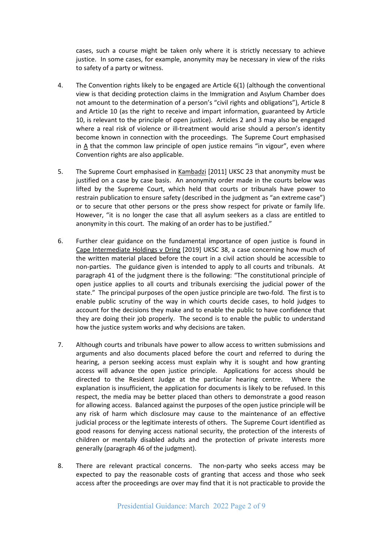cases, such a course might be taken only where it is strictly necessary to achieve justice. In some cases, for example, anonymity may be necessary in view of the risks to safety of a party or witness.

- 4. The Convention rights likely to be engaged are Article 6(1) (although the conventional view is that deciding protection claims in the Immigration and Asylum Chamber does not amount to the determination of a person's "civil rights and obligations"), Article 8 and Article 10 (as the right to receive and impart information, guaranteed by Article 10, is relevant to the principle of open justice). Articles 2 and 3 may also be engaged where a real risk of violence or ill-treatment would arise should a person's identity become known in connection with the proceedings. The Supreme Court emphasised in A that the common law principle of open justice remains "in vigour", even where Convention rights are also applicable.
- 5. The Supreme Court emphasised in Kambadzi [2011] UKSC 23 that anonymity must be justified on a case by case basis. An anonymity order made in the courts below was lifted by the Supreme Court, which held that courts or tribunals have power to restrain publication to ensure safety (described in the judgment as "an extreme case") or to secure that other persons or the press show respect for private or family life. However, "it is no longer the case that all asylum seekers as a class are entitled to anonymity in this court. The making of an order has to be justified."
- 6. Further clear guidance on the fundamental importance of open justice is found in Cape Intermediate Holdings v Dring [2019] UKSC 38, a case concerning how much of the written material placed before the court in a civil action should be accessible to non-parties. The guidance given is intended to apply to all courts and tribunals. At paragraph 41 of the judgment there is the following: "The constitutional principle of open justice applies to all courts and tribunals exercising the judicial power of the state." The principal purposes of the open justice principle are two-fold. The first is to enable public scrutiny of the way in which courts decide cases, to hold judges to account for the decisions they make and to enable the public to have confidence that they are doing their job properly. The second is to enable the public to understand how the justice system works and why decisions are taken.
- 7. Although courts and tribunals have power to allow access to written submissions and arguments and also documents placed before the court and referred to during the hearing, a person seeking access must explain why it is sought and how granting access will advance the open justice principle. Applications for access should be directed to the Resident Judge at the particular hearing centre. Where the explanation is insufficient, the application for documents is likely to be refused. In this respect, the media may be better placed than others to demonstrate a good reason for allowing access. Balanced against the purposes of the open justice principle will be any risk of harm which disclosure may cause to the maintenance of an effective judicial process or the legitimate interests of others. The Supreme Court identified as good reasons for denying access national security, the protection of the interests of children or mentally disabled adults and the protection of private interests more generally (paragraph 46 of the judgment).
- 8. There are relevant practical concerns. The non-party who seeks access may be expected to pay the reasonable costs of granting that access and those who seek access after the proceedings are over may find that it is not practicable to provide the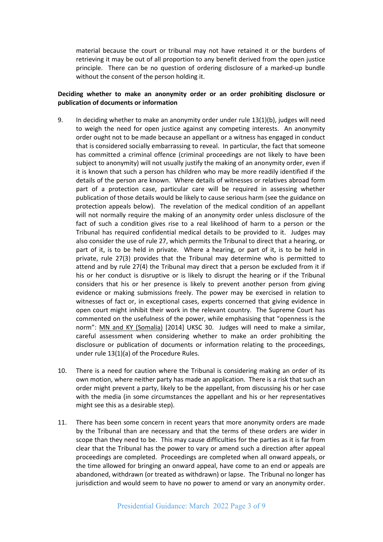material because the court or tribunal may not have retained it or the burdens of retrieving it may be out of all proportion to any benefit derived from the open justice principle. There can be no question of ordering disclosure of a marked-up bundle without the consent of the person holding it.

#### **Deciding whether to make an anonymity order or an order prohibiting disclosure or publication of documents or information**

- 9. In deciding whether to make an anonymity order under rule 13(1)(b), judges will need to weigh the need for open justice against any competing interests. An anonymity order ought not to be made because an appellant or a witness has engaged in conduct that is considered socially embarrassing to reveal. In particular, the fact that someone has committed a criminal offence (criminal proceedings are not likely to have been subject to anonymity) will not usually justify the making of an anonymity order, even if it is known that such a person has children who may be more readily identified if the details of the person are known. Where details of witnesses or relatives abroad form part of a protection case, particular care will be required in assessing whether publication of those details would be likely to cause serious harm (see the guidance on protection appeals below). The revelation of the medical condition of an appellant will not normally require the making of an anonymity order unless disclosure of the fact of such a condition gives rise to a real likelihood of harm to a person or the Tribunal has required confidential medical details to be provided to it. Judges may also consider the use of rule 27, which permits the Tribunal to direct that a hearing, or part of it, is to be held in private. Where a hearing, or part of it, is to be held in private, rule 27(3) provides that the Tribunal may determine who is permitted to attend and by rule 27(4) the Tribunal may direct that a person be excluded from it if his or her conduct is disruptive or is likely to disrupt the hearing or if the Tribunal considers that his or her presence is likely to prevent another person from giving evidence or making submissions freely. The power may be exercised in relation to witnesses of fact or, in exceptional cases, experts concerned that giving evidence in open court might inhibit their work in the relevant country. The Supreme Court has commented on the usefulness of the power, while emphasising that "openness is the norm": MN and KY (Somalia) [2014] UKSC 30. Judges will need to make a similar, careful assessment when considering whether to make an order prohibiting the disclosure or publication of documents or information relating to the proceedings, under rule 13(1)(a) of the Procedure Rules.
- 10. There is a need for caution where the Tribunal is considering making an order of its own motion, where neither party has made an application. There is a risk that such an order might prevent a party, likely to be the appellant, from discussing his or her case with the media (in some circumstances the appellant and his or her representatives might see this as a desirable step).
- 11. There has been some concern in recent years that more anonymity orders are made by the Tribunal than are necessary and that the terms of these orders are wider in scope than they need to be. This may cause difficulties for the parties as it is far from clear that the Tribunal has the power to vary or amend such a direction after appeal proceedings are completed. Proceedings are completed when all onward appeals, or the time allowed for bringing an onward appeal, have come to an end or appeals are abandoned, withdrawn (or treated as withdrawn) or lapse. The Tribunal no longer has jurisdiction and would seem to have no power to amend or vary an anonymity order.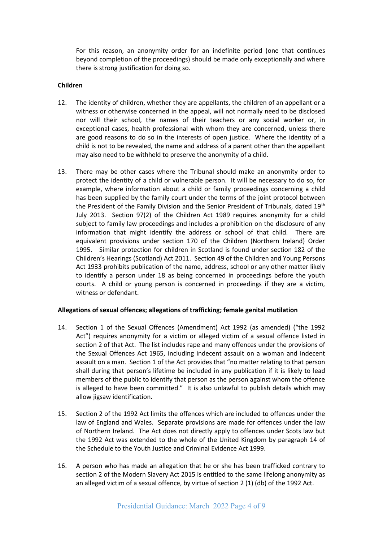For this reason, an anonymity order for an indefinite period (one that continues beyond completion of the proceedings) should be made only exceptionally and where there is strong justification for doing so.

#### **Children**

- 12. The identity of children, whether they are appellants, the children of an appellant or a witness or otherwise concerned in the appeal, will not normally need to be disclosed nor will their school, the names of their teachers or any social worker or, in exceptional cases, health professional with whom they are concerned, unless there are good reasons to do so in the interests of open justice. Where the identity of a child is not to be revealed, the name and address of a parent other than the appellant may also need to be withheld to preserve the anonymity of a child.
- 13. There may be other cases where the Tribunal should make an anonymity order to protect the identity of a child or vulnerable person. It will be necessary to do so, for example, where information about a child or family proceedings concerning a child has been supplied by the family court under the terms of the joint protocol between the President of the Family Division and the Senior President of Tribunals, dated 19<sup>th</sup> July 2013. Section 97(2) of the Children Act 1989 requires anonymity for a child subject to family law proceedings and includes a prohibition on the disclosure of any information that might identify the address or school of that child. There are equivalent provisions under section 170 of the Children (Northern Ireland) Order 1995. Similar protection for children in Scotland is found under section 182 of the Children's Hearings (Scotland) Act 2011. Section 49 of the Children and Young Persons Act 1933 prohibits publication of the name, address, school or any other matter likely to identify a person under 18 as being concerned in proceedings before the youth courts. A child or young person is concerned in proceedings if they are a victim, witness or defendant.

#### **Allegations of sexual offences; allegations of trafficking; female genital mutilation**

- 14. Section 1 of the Sexual Offences (Amendment) Act 1992 (as amended) ("the 1992 Act") requires anonymity for a victim or alleged victim of a sexual offence listed in section 2 of that Act. The list includes rape and many offences under the provisions of the Sexual Offences Act 1965, including indecent assault on a woman and indecent assault on a man. Section 1 of the Act provides that "no matter relating to that person shall during that person's lifetime be included in any publication if it is likely to lead members of the public to identify that person as the person against whom the offence is alleged to have been committed." It is also unlawful to publish details which may allow jigsaw identification.
- 15. Section 2 of the 1992 Act limits the offences which are included to offences under the law of England and Wales. Separate provisions are made for offences under the law of Northern Ireland. The Act does not directly apply to offences under Scots law but the 1992 Act was extended to the whole of the United Kingdom by paragraph 14 of the Schedule to the Youth Justice and Criminal Evidence Act 1999.
- 16. A person who has made an allegation that he or she has been trafficked contrary to section 2 of the Modern Slavery Act 2015 is entitled to the same lifelong anonymity as an alleged victim of a sexual offence, by virtue of section 2 (1) (db) of the 1992 Act.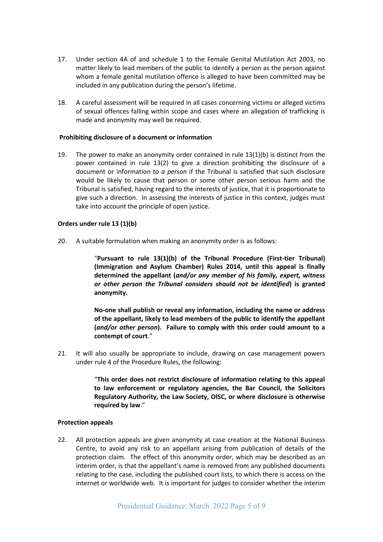- 17. Under section 4A of and schedule 1 to the Female Genital Mutilation Act 2003, no matter likely to lead members of the public to identify a person as the person against whom a female genital mutilation offence is alleged to have been committed may be included in any publication during the person's lifetime.
- 18. A careful assessment will be required in all cases concerning victims or alleged victims of sexual offences falling within scope and cases where an allegation of trafficking is made and anonymity may well be required.

#### **Prohibiting disclosure of a document or information**

19. The power to make an anonymity order contained in rule 13(1)(b) is distinct from the power contained in rule 13(2) to give a direction prohibiting the disclosure of a document or information *to a person* if the Tribunal is satisfied that such disclosure would be likely to cause that person or some other person serious harm and the Tribunal is satisfied, having regard to the interests of justice, that it is proportionate to give such a direction. In assessing the interests of justice in this context, judges must take into account the principle of open justice.

#### **Orders under rule 13 (1)(b)**

20. A suitable formulation when making an anonymity order is as follows:

"**Pursuant to rule 13(1)(b) of the Tribunal Procedure (First-tier Tribunal) (Immigration and Asylum Chamber) Rules 2014, until this appeal is finally determined the appellant (***and/or any member of his family, expert, witness or other person the Tribunal considers should not be identified***) is granted anonymity.** 

**No-one shall publish or reveal any information, including the name or address of the appellant, likely to lead members of the public to identify the appellant (***and/or other person***). Failure to comply with this order could amount to a contempt of court**."

21. It will also usually be appropriate to include, drawing on case management powers under rule 4 of the Procedure Rules, the following:

> "**This order does not restrict disclosure of information relating to this appeal to law enforcement or regulatory agencies, the Bar Council, the Solicitors Regulatory Authority, the Law Society, OISC, or where disclosure is otherwise required by law**."

#### **Protection appeals**

22. All protection appeals are given anonymity at case creation at the National Business Centre, to avoid any risk to an appellant arising from publication of details of the protection claim. The effect of this anonymity order, which may be described as an interim order, is that the appellant's name is removed from any published documents relating to the case, including the published court lists, to which there is access on the internet or worldwide web. It is important for judges to consider whether the interim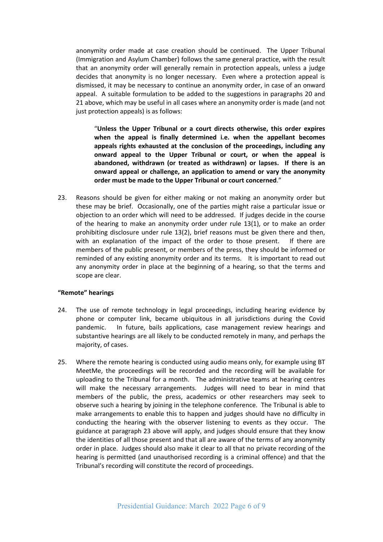anonymity order made at case creation should be continued. The Upper Tribunal (Immigration and Asylum Chamber) follows the same general practice, with the result that an anonymity order will generally remain in protection appeals, unless a judge decides that anonymity is no longer necessary. Even where a protection appeal is dismissed, it may be necessary to continue an anonymity order, in case of an onward appeal. A suitable formulation to be added to the suggestions in paragraphs 20 and 21 above, which may be useful in all cases where an anonymity order is made (and not just protection appeals) is as follows:

"**Unless the Upper Tribunal or a court directs otherwise, this order expires when the appeal is finally determined i.e. when the appellant becomes appeals rights exhausted at the conclusion of the proceedings, including any onward appeal to the Upper Tribunal or court, or when the appeal is abandoned, withdrawn (or treated as withdrawn) or lapses. If there is an onward appeal or challenge, an application to amend or vary the anonymity order must be made to the Upper Tribunal or court concerned**."

23. Reasons should be given for either making or not making an anonymity order but these may be brief. Occasionally, one of the parties might raise a particular issue or objection to an order which will need to be addressed. If judges decide in the course of the hearing to make an anonymity order under rule 13(1), or to make an order prohibiting disclosure under rule 13(2), brief reasons must be given there and then, with an explanation of the impact of the order to those present. If there are members of the public present, or members of the press, they should be informed or reminded of any existing anonymity order and its terms. It is important to read out any anonymity order in place at the beginning of a hearing, so that the terms and scope are clear.

#### **"Remote" hearings**

- 24. The use of remote technology in legal proceedings, including hearing evidence by phone or computer link, became ubiquitous in all jurisdictions during the Covid pandemic. In future, bails applications, case management review hearings and substantive hearings are all likely to be conducted remotely in many, and perhaps the majority, of cases.
- 25. Where the remote hearing is conducted using audio means only, for example using BT MeetMe, the proceedings will be recorded and the recording will be available for uploading to the Tribunal for a month. The administrative teams at hearing centres will make the necessary arrangements. Judges will need to bear in mind that members of the public, the press, academics or other researchers may seek to observe such a hearing by joining in the telephone conference. The Tribunal is able to make arrangements to enable this to happen and judges should have no difficulty in conducting the hearing with the observer listening to events as they occur. The guidance at paragraph 23 above will apply, and judges should ensure that they know the identities of all those present and that all are aware of the terms of any anonymity order in place. Judges should also make it clear to all that no private recording of the hearing is permitted (and unauthorised recording is a criminal offence) and that the Tribunal's recording will constitute the record of proceedings.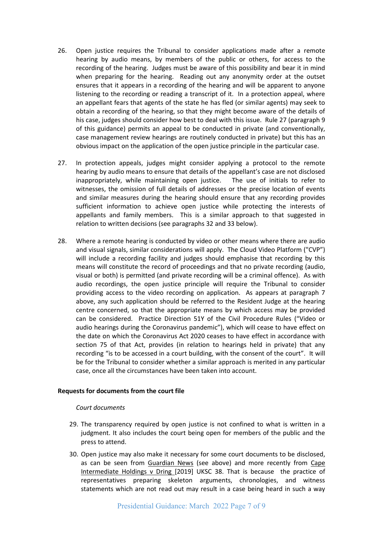- 26. Open justice requires the Tribunal to consider applications made after a remote hearing by audio means, by members of the public or others, for access to the recording of the hearing. Judges must be aware of this possibility and bear it in mind when preparing for the hearing. Reading out any anonymity order at the outset ensures that it appears in a recording of the hearing and will be apparent to anyone listening to the recording or reading a transcript of it. In a protection appeal, where an appellant fears that agents of the state he has fled (or similar agents) may seek to obtain a recording of the hearing, so that they might become aware of the details of his case, judges should consider how best to deal with this issue. Rule 27 (paragraph 9 of this guidance) permits an appeal to be conducted in private (and conventionally, case management review hearings are routinely conducted in private) but this has an obvious impact on the application of the open justice principle in the particular case.
- 27. In protection appeals, judges might consider applying a protocol to the remote hearing by audio means to ensure that details of the appellant's case are not disclosed inappropriately, while maintaining open justice. The use of initials to refer to witnesses, the omission of full details of addresses or the precise location of events and similar measures during the hearing should ensure that any recording provides sufficient information to achieve open justice while protecting the interests of appellants and family members. This is a similar approach to that suggested in relation to written decisions (see paragraphs 32 and 33 below).
- 28. Where a remote hearing is conducted by video or other means where there are audio and visual signals, similar considerations will apply. The Cloud Video Platform ("CVP") will include a recording facility and judges should emphasise that recording by this means will constitute the record of proceedings and that no private recording (audio, visual or both) is permitted (and private recording will be a criminal offence). As with audio recordings, the open justice principle will require the Tribunal to consider providing access to the video recording on application. As appears at paragraph 7 above, any such application should be referred to the Resident Judge at the hearing centre concerned, so that the appropriate means by which access may be provided can be considered. Practice Direction 51Y of the Civil Procedure Rules ("Video or audio hearings during the Coronavirus pandemic"), which will cease to have effect on the date on which the Coronavirus Act 2020 ceases to have effect in accordance with section 75 of that Act, provides (in relation to hearings held in private) that any recording "is to be accessed in a court building, with the consent of the court". It will be for the Tribunal to consider whether a similar approach is merited in any particular case, once all the circumstances have been taken into account.

#### **Requests for documents from the court file**

#### *Court documents*

- 29. The transparency required by open justice is not confined to what is written in a judgment. It also includes the court being open for members of the public and the press to attend.
- 30. Open justice may also make it necessary for some court documents to be disclosed, as can be seen from Guardian News (see above) and more recently from Cape Intermediate Holdings v Dring [2019] UKSC 38. That is because the practice of representatives preparing skeleton arguments, chronologies, and witness statements which are not read out may result in a case being heard in such a way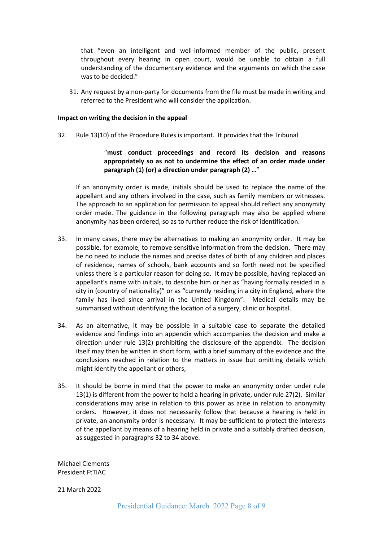that "even an intelligent and well-informed member of the public, present throughout every hearing in open court, would be unable to obtain a full understanding of the documentary evidence and the arguments on which the case was to be decided."

31. Any request by a non-party for documents from the file must be made in writing and referred to the President who will consider the application.

#### **Impact on writing the decision in the appeal**

32. Rule 13(10) of the Procedure Rules is important. It provides that the Tribunal

### "**must conduct proceedings and record its decision and reasons appropriately so as not to undermine the effect of an order made under paragraph (1) (or) a direction under paragraph (2)** …"

If an anonymity order is made, initials should be used to replace the name of the appellant and any others involved in the case, such as family members or witnesses. The approach to an application for permission to appeal should reflect any anonymity order made. The guidance in the following paragraph may also be applied where anonymity has been ordered, so as to further reduce the risk of identification.

- 33. In many cases, there may be alternatives to making an anonymity order. It may be possible, for example, to remove sensitive information from the decision. There may be no need to include the names and precise dates of birth of any children and places of residence, names of schools, bank accounts and so forth need not be specified unless there is a particular reason for doing so. It may be possible, having replaced an appellant's name with initials, to describe him or her as "having formally resided in a city in (country of nationality)" or as "currently residing in a city in England, where the family has lived since arrival in the United Kingdom". Medical details may be summarised without identifying the location of a surgery, clinic or hospital.
- 34. As an alternative, it may be possible in a suitable case to separate the detailed evidence and findings into an appendix which accompanies the decision and make a direction under rule 13(2) prohibiting the disclosure of the appendix. The decision itself may then be written in short form, with a brief summary of the evidence and the conclusions reached in relation to the matters in issue but omitting details which might identify the appellant or others,
- 35. It should be borne in mind that the power to make an anonymity order under rule 13(1) is different from the power to hold a hearing in private, under rule 27(2). Similar considerations may arise in relation to this power as arise in relation to anonymity orders. However, it does not necessarily follow that because a hearing is held in private, an anonymity order is necessary. It may be sufficient to protect the interests of the appellant by means of a hearing held in private and a suitably drafted decision, as suggested in paragraphs 32 to 34 above.

Michael Clements President FtTIAC

21 March 2022